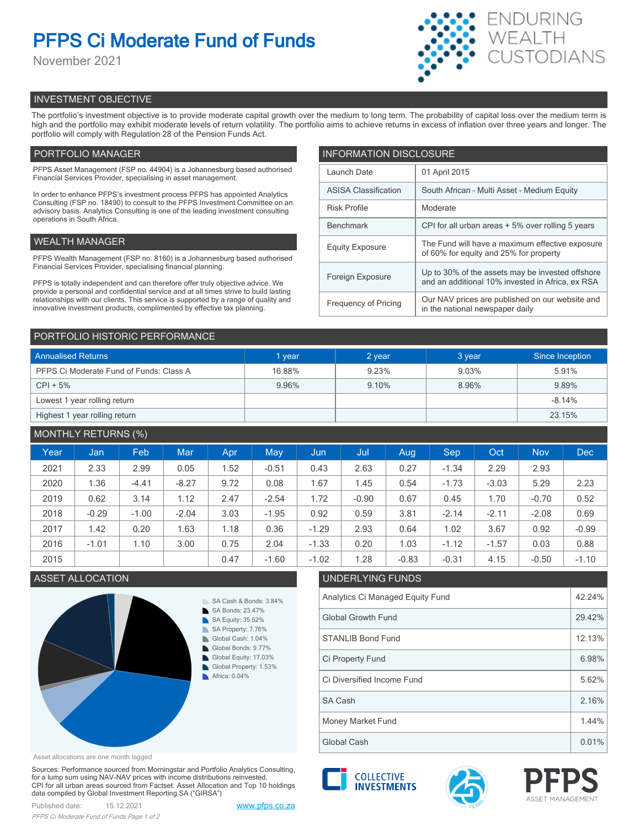# **PFPS Ci Moderate Fund of Funds**

November 2021



# INVESTMENT OBJECTIVE

The portfolio's investment objective is to provide moderate capital growth over the medium to long term. The probability of capital loss over the medium term is high and the portfolio may exhibit moderate levels of return volatility. The portfolio aims to achieve returns in excess of inflation over three years and longer. The portfolio will comply with Regulation 28 of the Pension Funds Act.

# PORTFOLIO MANAGER

PFPS Asset Management (FSP no. 44904) is a Johannesburg based authorised Financial Services Provider, specialising in asset management.

In order to enhance PFPS's investment process PFPS has appointed Analytics Consulting (FSP no. 18490) to consult to the PFPS Investment Committee on an advisory basis. Analytics Consulting is one of the leading investment consulting operations in South Africa.

# WEALTH MANAGER

PFPS Wealth Management (FSP no. 8160) is a Johannesburg based authorised Financial Services Provider, specialising financial planning.

PFPS is totally independent and can therefore offer truly objective advice. We provide a personal and confidential service and at all times strive to build lasting relationships with our clients. This service is supported by a range of quality and innovative investment products, complimented by effective tax planning.

| <b>INFORMATION DISCLOSURE</b> |                                                                                                      |  |  |  |  |  |
|-------------------------------|------------------------------------------------------------------------------------------------------|--|--|--|--|--|
| Launch Date                   | 01 April 2015                                                                                        |  |  |  |  |  |
| <b>ASISA Classification</b>   | South African - Multi Asset - Medium Equity                                                          |  |  |  |  |  |
| <b>Risk Profile</b>           | Moderate                                                                                             |  |  |  |  |  |
| <b>Benchmark</b>              | CPI for all urban areas + 5% over rolling 5 years                                                    |  |  |  |  |  |
| <b>Equity Exposure</b>        | The Fund will have a maximum effective exposure<br>of 60% for equity and 25% for property            |  |  |  |  |  |
| Foreign Exposure              | Up to 30% of the assets may be invested offshore<br>and an additional 10% invested in Africa, ex RSA |  |  |  |  |  |
| <b>Frequency of Pricing</b>   | Our NAV prices are published on our website and<br>in the national newspaper daily                   |  |  |  |  |  |

## PORTFOLIO HISTORIC PERFORMANCE

| <b>Annualised Returns</b>               | 1 year | 2 year | 3 year | Since Inception |  |
|-----------------------------------------|--------|--------|--------|-----------------|--|
| PFPS Ci Moderate Fund of Funds: Class A | 16.88% | 9.23%  | 9.03%  | 5.91%           |  |
| $CPI + 5%$                              | 9.96%  | 9.10%  | 8.96%  | 9.89%           |  |
| Lowest 1 year rolling return            |        |        |        | $-8.14%$        |  |
| Highest 1 year rolling return           |        |        |        | 23.15%          |  |

# MONTHLY RETURNS (%)

| Year | Jan     | Feb     | <b>Mar</b> | Apr  | May     | Jun     | Jul     | Aug     | Sep     | Oct     | <b>Nov</b> | <b>Dec</b> |
|------|---------|---------|------------|------|---------|---------|---------|---------|---------|---------|------------|------------|
| 2021 | 2.33    | 2.99    | 0.05       | 1.52 | $-0.51$ | 0.43    | 2.63    | 0.27    | $-1.34$ | 2.29    | 2.93       |            |
| 2020 | 1.36    | $-4.41$ | $-8.27$    | 9.72 | 0.08    | 1.67    | 1.45    | 0.54    | $-1.73$ | $-3.03$ | 5.29       | 2.23       |
| 2019 | 0.62    | 3.14    | 1.12       | 2.47 | $-2.54$ | 1.72    | $-0.90$ | 0.67    | 0.45    | 1.70    | $-0.70$    | 0.52       |
| 2018 | $-0.29$ | $-1.00$ | $-2.04$    | 3.03 | $-1.95$ | 0.92    | 0.59    | 3.81    | $-2.14$ | $-2.11$ | $-2.08$    | 0.69       |
| 2017 | 1.42    | 0.20    | 1.63       | 1.18 | 0.36    | $-1.29$ | 2.93    | 0.64    | 1.02    | 3.67    | 0.92       | $-0.99$    |
| 2016 | $-1.01$ | 1.10    | 3.00       | 0.75 | 2.04    | $-1.33$ | 0.20    | 1.03    | $-1.12$ | $-1.57$ | 0.03       | 0.88       |
| 2015 |         |         |            | 0.47 | $-1.60$ | $-1.02$ | 1.28    | $-0.83$ | $-0.31$ | 4.15    | $-0.50$    | $-1.10$    |



#### Asset allocations are one month lagged

Sources: Performance sourced from Morningstar and Portfolio Analytics Consulting, for a lump sum using NAV-NAV prices with income distributions reinvested. CPI for all urban areas sourced from Factset. Asset Allocation and Top 10 holdings data compiled by Global Investment Reporting SA ("GIRSA")